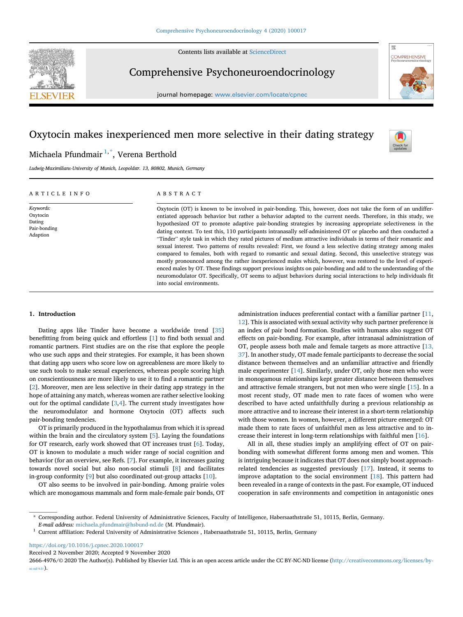Contents lists available at [ScienceDirect](www.sciencedirect.com/science/journal/26664976)



Comprehensive Psychoneuroendocrinology

journal homepage: <www.elsevier.com/locate/cpnec>





靈

**COMPREHENSIVE** 

# Michaela Pfundmair <sup>[1](#page-0-0),[\\*](#page-0-1)</sup>, Verena Berthold

Ludwig-Maximilians-University of Munich, Leopoldstr. 13, 80802, Munich, Germany

# ARTICLE INFO

Keywords: Oxytocin Dating Pair-bonding Adaption

# ABSTRACT

Oxytocin (OT) is known to be involved in pair-bonding. This, however, does not take the form of an undifferentiated approach behavior but rather a behavior adapted to the current needs. Therefore, in this study, we hypothesized OT to promote adaptive pair-bonding strategies by increasing appropriate selectiveness in the dating context. To test this, 110 participants intranasally self-administered OT or placebo and then conducted a "Tinder" style task in which they rated pictures of medium attractive individuals in terms of their romantic and sexual interest. Two patterns of results revealed: First, we found a less selective dating strategy among males compared to females, both with regard to romantic and sexual dating. Second, this unselective strategy was mostly pronounced among the rather inexperienced males which, however, was restored to the level of experienced males by OT. These findings support previous insights on pair-bonding and add to the understanding of the neuromodulator OT. Specifically, OT seems to adjust behaviors during social interactions to help individuals fit into social environments.

# 1. Introduction

Dating apps like Tinder have become a worldwide trend [\[35](#page-4-0)] benefitting from being quick and effortless [\[1\]](#page-4-1) to find both sexual and romantic partners. First studies are on the rise that explore the people who use such apps and their strategies. For example, it has been shown that dating app users who score low on agreeableness are more likely to use such tools to make sexual experiences, whereas people scoring high on conscientiousness are more likely to use it to find a romantic partner [[2](#page-4-2)]. Moreover, men are less selective in their dating app strategy in the hope of attaining any match, whereas women are rather selective looking out for the optimal candidate [\[3,](#page-4-3)[4\]](#page-4-4). The current study investigates how the neuromodulator and hormone Oxytocin (OT) affects such pair-bonding tendencies.

OT is primarily produced in the hypothalamus from which it is spread within the brain and the circulatory system [[5](#page-4-5)]. Laying the foundations for OT research, early work showed that OT increases trust [\[6\]](#page-4-6). Today, OT is known to modulate a much wider range of social cognition and behavior (for an overview, see Refs. [[7](#page-4-7)]. For example, it increases gazing towards novel social but also non-social stimuli [\[8\]](#page-4-8) and facilitates in-group conformity [[9](#page-4-9)] but also coordinated out-group attacks [[10](#page-4-10)].

OT also seems to be involved in pair-bonding. Among prairie voles which are monogamous mammals and form male-female pair bonds, OT administration induces preferential contact with a familiar partner [[11,](#page-4-11) [12\]](#page-4-12). This is associated with sexual activity why such partner preference is an index of pair bond formation. Studies with humans also suggest OT effects on pair-bonding. For example, after intranasal administration of OT, people assess both male and female targets as more attractive [[13,](#page-4-13) [37\]](#page-4-13). In another study, OT made female participants to decrease the social distance between themselves and an unfamiliar attractive and friendly male experimenter [[14\]](#page-4-14). Similarly, under OT, only those men who were in monogamous relationships kept greater distance between themselves and attractive female strangers, but not men who were single [\[15](#page-4-15)]. In a most recent study, OT made men to rate faces of women who were described to have acted unfaithfully during a previous relationship as more attractive and to increase their interest in a short-term relationship with those women. In women, however, a different picture emerged: OT made them to rate faces of unfaithful men as less attractive and to increase their interest in long-term relationships with faithful men [[16\]](#page-4-16).

All in all, these studies imply an amplifying effect of OT on pairbonding with somewhat different forms among men and women. This is intriguing because it indicates that OT does not simply boost approachrelated tendencies as suggested previously [[17\]](#page-4-17). Instead, it seems to improve adaptation to the social environment [[18\]](#page-4-18). This pattern had been revealed in a range of contexts in the past. For example, OT induced cooperation in safe environments and competition in antagonistic ones

<https://doi.org/10.1016/j.cpnec.2020.100017>

Received 2 November 2020; Accepted 9 November 2020

<span id="page-0-1"></span><sup>\*</sup> Corresponding author. Federal University of Administrative Sciences, Faculty of Intelligence, Habersaathstraße 51, 10115, Berlin, Germany.

E-mail address: [michaela.pfundmair@hsbund-nd.de](mailto:michaela.pfundmair@hsbund-nd.de) (M. Pfundmair).

<span id="page-0-0"></span> $^{\rm 1}$  Current affiliation: Federal University of Administrative Sciences , Habersaathstraße 51, 10115, Berlin, Germany

<sup>2666-4976/</sup>© 2020 The Author(s). Published by Elsevier Ltd. This is an open access article under the CC BY-NC-ND license [\(http://creativecommons.org/licenses/by](http://creativecommons.org/licenses/by-nc-nd/4.0/) $nc\text{-nd/4.0}/$ ).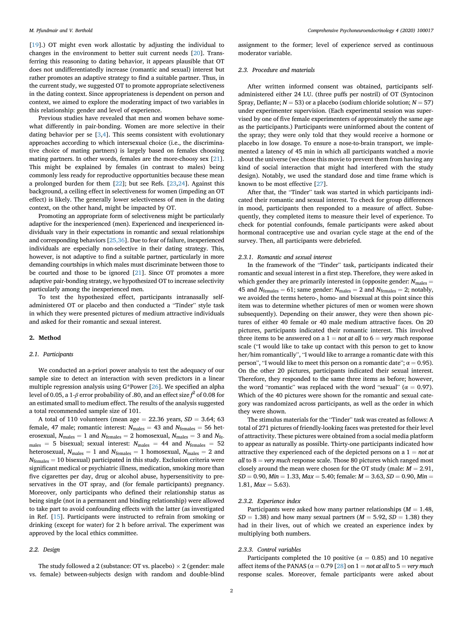[[19\]](#page-4-19).) OT might even work allostatic by adjusting the individual to changes in the environment to better suit current needs [[20\]](#page-4-20). Transferring this reasoning to dating behavior, it appears plausible that OT does not undifferentiatedly increase (romantic and sexual) interest but rather promotes an adaptive strategy to find a suitable partner. Thus, in the current study, we suggested OT to promote appropriate selectiveness in the dating context. Since appropriateness is dependent on person and context, we aimed to explore the moderating impact of two variables in this relationship: gender and level of experience.

Previous studies have revealed that men and women behave somewhat differently in pair-bonding. Women are more selective in their dating behavior per se [\[3,](#page-4-3)[4](#page-4-4)]. This seems consistent with evolutionary approaches according to which intersexual choice (i.e., the discriminative choice of mating partners) is largely based on females choosing mating partners. In other words, females are the more-choosy sex [\[21](#page-4-21)]. This might be explained by females (in contrast to males) being commonly less ready for reproductive opportunities because these mean a prolonged burden for them [\[22](#page-4-22)]; but see Refs. [\[23](#page-4-23)[,24](#page-4-24)]. Against this background, a ceiling effect in selectiveness for women (impeding an OT effect) is likely. The generally lower selectiveness of men in the dating context, on the other hand, might be impacted by OT.

Promoting an appropriate form of selectiveness might be particularly adaptive for the inexperienced (men). Experienced and inexperienced individuals vary in their expectations in romantic and sexual relationships and corresponding behaviors [[25,36](#page-4-25)]. Due to fear of failure, inexperienced individuals are especially non-selective in their dating strategy. This, however, is not adaptive to find a suitable partner, particularly in more demanding courtships in which males must discriminate between those to be courted and those to be ignored [[21](#page-4-21)]. Since OT promotes a more adaptive pair-bonding strategy, we hypothesized OT to increase selectivity particularly among the inexperienced men.

To test the hypothesized effect, participants intranasally selfadministered OT or placebo and then conducted a "Tinder" style task in which they were presented pictures of medium attractive individuals and asked for their romantic and sexual interest.

# 2. Method

# 2.1. Participants

We conducted an a-priori power analysis to test the adequacy of our sample size to detect an interaction with seven predictors in a linear multiple regression analysis using G\*Power [\[26](#page-4-26)]. We specified an alpha level of 0.05, a 1- $\beta$  error probability of .80, and an effect size  $\mathit{f}^{2}$  of 0.08 for an estimated small to medium effect. The results of the analysis suggested a total recommended sample size of 101.

A total of 110 volunteers (mean age  $= 22.36$  years,  $SD = 3.64$ ; 63 female, 47 male; romantic interest:  $N_{\text{males}} = 43$  and  $N_{\text{females}} = 56$  heterosexual,  $N_{\text{males}} = 1$  and  $N_{\text{females}} = 2$  homosexual,  $N_{\text{males}} = 3$  and  $N_{\text{fe}}$ . males = 5 bisexual; sexual interest:  $N_{\text{males}} = 44$  and  $N_{\text{females}} = 52$ heterosexual,  $N_{\text{males}} = 1$  and  $N_{\text{females}} = 1$  homosexual,  $N_{\text{males}} = 2$  and  $N_{\text{females}} = 10$  bisexual) participated in this study. Exclusion criteria were significant medical or psychiatric illness, medication, smoking more than five cigarettes per day, drug or alcohol abuse, hypersensitivity to preservatives in the OT spray, and (for female participants) pregnancy. Moreover, only participants who defined their relationship status as being single (not in a permanent and binding relationship) were allowed to take part to avoid confounding effects with the latter (as investigated in Ref. [[15\]](#page-4-15). Participants were instructed to refrain from smoking or drinking (except for water) for 2 h before arrival. The experiment was approved by the local ethics committee.

# 2.2. Design

assignment to the former; level of experience served as continuous moderator variable.

## 2.3. Procedure and materials

After written informed consent was obtained, participants selfadministered either 24 I.U. (three puffs per nostril) of OT (Syntocinon Spray, Defiante;  $N = 53$ ) or a placebo (sodium chloride solution;  $N = 57$ ) under experimenter supervision. (Each experimental session was supervised by one of five female experimenters of approximately the same age as the participants.) Participants were uninformed about the content of the spray; they were only told that they would receive a hormone or placebo in low dosage. To ensure a nose-to-brain transport, we implemented a latency of 45 min in which all participants watched a movie about the universe (we chose this movie to prevent them from having any kind of social interaction that might had interfered with the study design). Notably, we used the standard dose and time frame which is known to be most effective [\[27](#page-4-27)].

After that, the "Tinder" task was started in which participants indicated their romantic and sexual interest. To check for group differences in mood, participants then responded to a measure of affect. Subsequently, they completed items to measure their level of experience. To check for potential confounds, female participants were asked about hormonal contraceptive use and ovarian cycle stage at the end of the survey. Then, all participants were debriefed.

#### 2.3.1. Romantic and sexual interest

In the framework of the "Tinder" task, participants indicated their romantic and sexual interest in a first step. Therefore, they were asked in which gender they are primarily interested in (opposite gender:  $N_{\text{males}} =$ 45 and  $N_{\text{females}} = 61$ ; same gender:  $N_{\text{males}} = 2$  and  $N_{\text{females}} = 2$ ; notably, we avoided the terms hetero-, homo- and bisexual at this point since this item was to determine whether pictures of men or women were shown subsequently). Depending on their answer, they were then shown pictures of either 40 female or 40 male medium attractive faces. On 20 pictures, participants indicated their romantic interest. This involved three items to be answered on a  $1 = not$  at all to  $6 = very$  much response scale ("I would like to take up contact with this person to get to know her/him romantically", "I would like to arrange a romantic date with this person", "I would like to meet this person on a romantic date";  $\alpha = 0.95$ ). On the other 20 pictures, participants indicated their sexual interest. Therefore, they responded to the same three items as before; however, the word "romantic" was replaced with the word "sexual" ( $\alpha = 0.97$ ). Which of the 40 pictures were shown for the romantic and sexual category was randomized across participants, as well as the order in which they were shown.

The stimulus materials for the "Tinder" task was created as follows: A total of 271 pictures of friendly-looking faces was pretested for their level of attractivity. These pictures were obtained from a social media platform to appear as naturally as possible. Thirty-one participants indicated how attractive they experienced each of the depicted persons on a  $1 = not$  at all to  $8 =$  very much response scale. Those 80 pictures which ranged most closely around the mean were chosen for the OT study (male:  $M = 2.91$ ,  $SD = 0.90$ ,  $Min = 1.33$ ,  $Max = 5.40$ ; female:  $M = 3.63$ ,  $SD = 0.90$ ,  $Min =$ 1.81,  $Max = 5.63$ ).

#### 2.3.2. Experience index

Participants were asked how many partner relationships ( $M = 1.48$ ,  $SD = 1.38$ ) and how many sexual partners ( $M = 5.92$ ,  $SD = 1.38$ ) they had in their lives, out of which we created an experience index by multiplying both numbers.

# 2.3.3. Control variables

Participants completed the 10 positive ( $\alpha = 0.85$ ) and 10 negative affect items of the PANAS ( $\alpha = 0.79$  [\[28](#page-4-28)] on 1 = not at all to 5 = very much response scales. Moreover, female participants were asked about

The study followed a 2 (substance: OT vs. placebo)  $\times$  2 (gender: male vs. female) between-subjects design with random and double-blind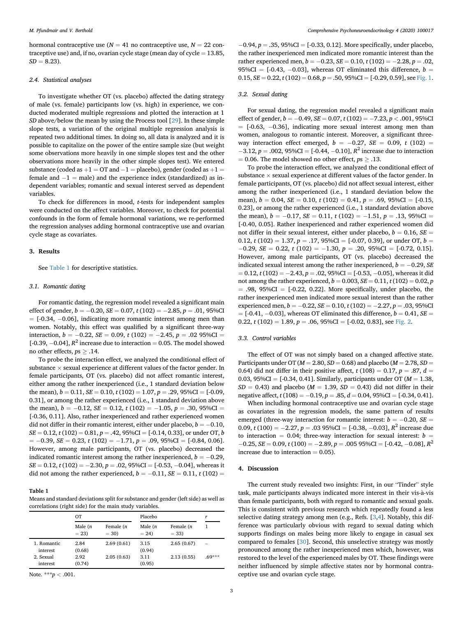hormonal contraceptive use ( $N = 41$  no contraceptive use,  $N = 22$  contraceptive use) and, if no, ovarian cycle stage (mean day of cycle  $= 13.85$ ,  $SD = 8.23$ ).

## 2.4. Statistical analyses

To investigate whether OT (vs. placebo) affected the dating strategy of male (vs. female) participants low (vs. high) in experience, we conducted moderated multiple regressions and plotted the interaction at 1 SD above/below the mean by using the Process tool [[29\]](#page-4-29). In these simple slope tests, a variation of the original multiple regression analysis is repeated two additional times. In doing so, all data is analyzed and it is possible to capitalize on the power of the entire sample size (but weight some observations more heavily in one simple slopes test and the other observations more heavily in the other simple slopes test). We entered substance (coded as  $+1 =$  OT and  $-1 =$  placebo), gender (coded as  $+1 =$ female and  $-1$  = male) and the experience index (standardized) as independent variables; romantic and sexual interest served as dependent variables.

To check for differences in mood, t-tests for independent samples were conducted on the affect variables. Moreover, to check for potential confounds in the form of female hormonal variations, we re-performed the regression analyses adding hormonal contraceptive use and ovarian cycle stage as covariates.

### 3. Results

See [Table 1](#page-2-0) for descriptive statistics.

#### 3.1. Romantic dating

For romantic dating, the regression model revealed a significant main effect of gender,  $b = -0.20$ ,  $SE = 0.07$ ,  $t (102) = -2.85$ ,  $p = .01$ , 95%CI  $=$  [-0.34, -0.06], indicating more romantic interest among men than women. Notably, this effect was qualified by a significant three-way interaction,  $b = -0.22$ ,  $SE = 0.09$ ,  $t (102) = -2.45$ ,  $p = .02$  95%CI = [-0.39, -0.04],  $R^2$  increase due to interaction = 0.05. The model showed no other effects,  $ps > .14$ .

To probe the interaction effect, we analyzed the conditional effect of substance  $\times$  sexual experience at different values of the factor gender. In female participants, OT (vs. placebo) did not affect romantic interest, either among the rather inexperienced (i.e., 1 standard deviation below the mean),  $b = 0.11$ ,  $SE = 0.10$ ,  $t (102) = 1.07$ ,  $p = .29$ ,  $95\%CI = [-0.09,$ 0.31], or among the rather experienced (i.e., 1 standard deviation above the mean),  $b = -0.12$ ,  $SE = 0.12$ ,  $t (102) = -1.05$ ,  $p = .30$ , 95%CI = [-0.36, 0.11]. Also, rather inexperienced and rather experienced women did not differ in their romantic interest, either under placebo,  $b = -0.10$ ,  $SE = 0.12$ ,  $t(102) = 0.81$ ,  $p = .42$ , 95%CI = [-0.14, 0.33], or under OT, b  $= -0.39$ ,  $SE = 0.23$ ,  $t(102) = -1.71$ ,  $p = .09$ ,  $95\%CI = [-0.84, 0.06]$ . However, among male participants, OT (vs. placebo) decreased the indicated romantic interest among the rather inexperienced,  $b = -0.29$ ,  $SE = 0.12$ ,  $t (102) = -2.30$ ,  $p = .02$ , 95%CI = [-0.53, -0.04], whereas it did not among the rather experienced,  $b = -0.11$ ,  $SE = 0.11$ ,  $t(102) =$ 

<span id="page-2-0"></span>Table 1

Means and standard deviations split for substance and gender (left side) as well as correlations (right side) for the main study variables.

|                         | OT                   |                        | Placebo              |                        | r        |
|-------------------------|----------------------|------------------------|----------------------|------------------------|----------|
|                         | Male $(n)$<br>$= 23$ | Female $(n)$<br>$= 30$ | Male $(n)$<br>$= 24$ | Female $(n)$<br>$= 33$ | 1        |
| 1. Romantic<br>interest | 2.84<br>(0.68)       | 2.69(0.61)             | 3.15<br>(0.94)       | 2.65(0.67)             | -        |
| 2. Sexual<br>interest   | 2.92<br>(0.74)       | 2.05(0.63)             | 3.11<br>(0.95)       | 2.13(0.55)             | $.69***$ |

Note. \*\*\* $p < .001$ .

 $-0.94$ ,  $p = .35$ ,  $95\%CI = [-0.33, 0.12]$ . More specifically, under placebo, the rather inexperienced men indicated more romantic interest than the rather experienced men,  $b = -0.23$ ,  $SE = 0.10$ ,  $t (102) = -2.28$ ,  $p = .02$ , 95%CI =  $[-0.43, -0.03]$ , whereas OT eliminated this difference,  $b =$  $0.15, SE = 0.22, t(102) = 0.68, p = .50, 95\%$ CI = [-0.29, 0.59], see [Fig. 1.](#page-3-0)

#### 3.2. Sexual dating

For sexual dating, the regression model revealed a significant main effect of gender,  $b = -0.49$ ,  $SE = 0.07$ ,  $t(102) = -7.23$ ,  $p < .001$ , 95%CI  $=$  [-0.63, -0.36], indicating more sexual interest among men than women, analogous to romantic interest. Moreover, a significant threeway interaction effect emerged,  $b = -0.27$ ,  $SE = 0.09$ , t (102) =  $-3.12$ ,  $p = .002$ , 95%CI = [-0.44, -0.10],  $R^2$  increase due to interaction  $= 0.06$ . The model showed no other effect,  $ps \geq .13$ .

To probe the interaction effect, we analyzed the conditional effect of substance  $\times$  sexual experience at different values of the factor gender. In female participants, OT (vs. placebo) did not affect sexual interest, either among the rather inexperienced (i.e., 1 standard deviation below the mean),  $b = 0.04$ ,  $SE = 0.10$ ,  $t (102) = 0.41$ ,  $p = .69$ ,  $95\%CI = [-0.15,$ 0.23], or among the rather experienced (i.e., 1 standard deviation above the mean),  $b = -0.17$ ,  $SE = 0.11$ ,  $t (102) = -1.51$ ,  $p = .13$ , 95%CI = [-0.40, 0.05]. Rather inexperienced and rather experienced women did not differ in their sexual interest, either under placebo,  $b = 0.16$ ,  $SE =$ 0.12, t (102) = 1.37, p = .17, 95%CI = [-0.07, 0.39], or under OT, b =  $-0.29$ ,  $SE = 0.22$ ,  $t (102) = -1.30$ ,  $p = .20$ ,  $95\%CI = [-0.72, 0.15]$ . However, among male participants, OT (vs. placebo) decreased the indicated sexual interest among the rather inexperienced,  $b = -0.29$ , SE  $= 0.12, t (102) = -2.43, p = .02, 95\% CI = [-0.53, -0.05],$  whereas it did not among the rather experienced,  $b = 0.003$ ,  $SE = 0.11$ ,  $t(102) = 0.02$ , p.  $= .98, 95\%CI = [-0.22, 0.22]$ . More specifically, under placebo, the rather inexperienced men indicated more sexual interest than the rather experienced men,  $b = -0.22$ ,  $SE = 0.10$ ,  $t(102) = -2.27$ ,  $p = .03$ , 95%CI  $=[-0.41, -0.03]$ , whereas OT eliminated this difference,  $b = 0.41$ , SE = 0.22,  $t(102) = 1.89$ ,  $p = .06$ ,  $95\%CI = [-0.02, 0.83]$ , see [Fig. 2.](#page-3-1)

# 3.3. Control variables

The effect of OT was not simply based on a changed affective state. Participants under OT ( $M = 2.80$ ,  $SD = 0.68$ ) and placebo ( $M = 2.78$ ,  $SD = 0.68$ ) 0.64) did not differ in their positive affect,  $t(108) = 0.17$ ,  $p = .87$ ,  $d =$ 0.03, 95%CI =  $[-0.34, 0.41]$ . Similarly, participants under OT ( $M = 1.38$ ,  $SD = 0.43$ ) and placebo ( $M = 1.39$ ,  $SD = 0.43$ ) did not differ in their negative affect,  $t(108) = -0.19$ ,  $p = .85$ ,  $d = 0.04$ , 95%CI = [-0.34, 0.41].

When including hormonal contraceptive use and ovarian cycle stage as covariates in the regression models, the same pattern of results emerged (three-way interaction for romantic interest:  $b = -0.20$ ,  $SE =$ 0.09, t (100) = -2.27, p = .03 95%CI = [-0.38, -0.03],  $R^2$  increase due to interaction = 0.04; three-way interaction for sexual interest:  $b =$  $-0.25$ ,  $SE = 0.09$ ,  $t(100) = -2.89$ ,  $p = .00595\%$ CI  $= [-0.42, -0.08]$ ,  $R^2$ increase due to interaction  $= 0.05$ ).

# 4. Discussion

The current study revealed two insights: First, in our "Tinder" style task, male participants always indicated more interest in their vis-a-vis than female participants, both with regard to romantic and sexual goals. This is consistent with previous research which repeatedly found a less selective dating strategy among men (e.g., Refs. [[3](#page-4-3)[,4\]](#page-4-4). Notably, this difference was particularly obvious with regard to sexual dating which supports findings on males being more likely to engage in casual sex compared to females [\[30](#page-4-30)]. Second, this unselective strategy was mostly pronounced among the rather inexperienced men which, however, was restored to the level of the experienced males by OT. These findings were neither influenced by simple affective states nor by hormonal contraceptive use and ovarian cycle stage.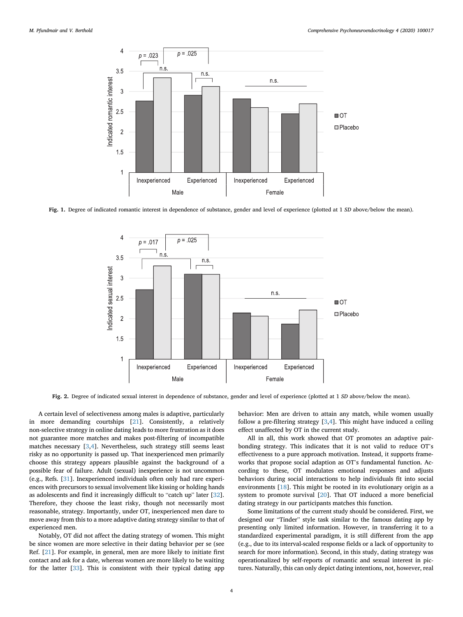<span id="page-3-0"></span>

<span id="page-3-1"></span>Fig. 1. Degree of indicated romantic interest in dependence of substance, gender and level of experience (plotted at 1 SD above/below the mean).



Fig. 2. Degree of indicated sexual interest in dependence of substance, gender and level of experience (plotted at 1 SD above/below the mean).

A certain level of selectiveness among males is adaptive, particularly in more demanding courtships [\[21](#page-4-21)]. Consistently, a relatively non-selective strategy in online dating leads to more frustration as it does not guarantee more matches and makes post-filtering of incompatible matches necessary [\[3,](#page-4-3)[4](#page-4-4)]. Nevertheless, such strategy still seems least risky as no opportunity is passed up. That inexperienced men primarily choose this strategy appears plausible against the background of a possible fear of failure. Adult (sexual) inexperience is not uncommon (e.g., Refs. [\[31](#page-4-31)]. Inexperienced individuals often only had rare experiences with precursors to sexual involvement like kissing or holding hands as adolescents and find it increasingly difficult to "catch up" later [\[32](#page-4-32)]. Therefore, they choose the least risky, though not necessarily most reasonable, strategy. Importantly, under OT, inexperienced men dare to move away from this to a more adaptive dating strategy similar to that of experienced men.

Notably, OT did not affect the dating strategy of women. This might be since women are more selective in their dating behavior per se (see Ref. [\[21](#page-4-21)]. For example, in general, men are more likely to initiate first contact and ask for a date, whereas women are more likely to be waiting for the latter [[33\]](#page-4-33). This is consistent with their typical dating app

behavior: Men are driven to attain any match, while women usually follow a pre-filtering strategy [[3](#page-4-3)[,4\]](#page-4-4). This might have induced a ceiling effect unaffected by OT in the current study.

All in all, this work showed that OT promotes an adaptive pairbonding strategy. This indicates that it is not valid to reduce OT'<sup>s</sup> effectiveness to a pure approach motivation. Instead, it supports frameworks that propose social adaption as OT's fundamental function. According to these, OT modulates emotional responses and adjusts behaviors during social interactions to help individuals fit into social environments [\[18](#page-4-18)]. This might be rooted in its evolutionary origin as a system to promote survival [[20\]](#page-4-20). That OT induced a more beneficial dating strategy in our participants matches this function.

Some limitations of the current study should be considered. First, we designed our "Tinder" style task similar to the famous dating app by presenting only limited information. However, in transferring it to a standardized experimental paradigm, it is still different from the app (e.g., due to its interval-scaled response fields or a lack of opportunity to search for more information). Second, in this study, dating strategy was operationalized by self-reports of romantic and sexual interest in pictures. Naturally, this can only depict dating intentions, not, however, real